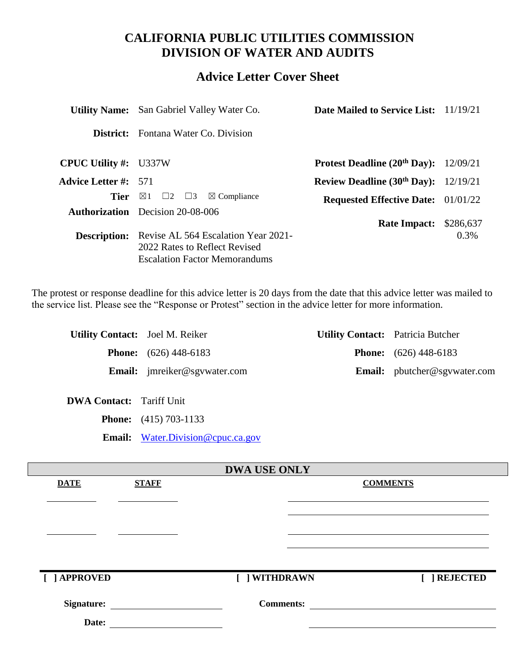# **CALIFORNIA PUBLIC UTILITIES COMMISSION DIVISION OF WATER AND AUDITS**

# **Advice Letter Cover Sheet**

|                              | <b>Utility Name:</b> San Gabriel Valley Water Co.                                                            | <b>Date Mailed to Service List:</b> 11/19/21  |           |
|------------------------------|--------------------------------------------------------------------------------------------------------------|-----------------------------------------------|-----------|
| District:                    | Fontana Water Co. Division                                                                                   |                                               |           |
| <b>CPUC Utility #:</b> U337W |                                                                                                              | Protest Deadline $(20th Day): 12/09/21$       |           |
| <b>Advice Letter #:</b> 571  |                                                                                                              | <b>Review Deadline (30th Day):</b> $12/19/21$ |           |
|                              | <b>Tier</b> $\boxtimes$ 1 $\Box$ 2 $\Box$ 3<br>$\boxtimes$ Compliance                                        | <b>Requested Effective Date:</b> 01/01/22     |           |
|                              | <b>Authorization</b> Decision 20-08-006                                                                      | <b>Rate Impact:</b>                           | \$286,637 |
| <b>Description:</b>          | Revise AL 564 Escalation Year 2021-<br>2022 Rates to Reflect Revised<br><b>Escalation Factor Memorandums</b> |                                               | $0.3\%$   |

The protest or response deadline for this advice letter is 20 days from the date that this advice letter was mailed to the service list. Please see the "Response or Protest" section in the advice letter for more information.

| <b>Utility Contact:</b> Joel M. Reiker |                                     | <b>Utility Contact:</b> Patricia Butcher |                                     |
|----------------------------------------|-------------------------------------|------------------------------------------|-------------------------------------|
|                                        | <b>Phone:</b> $(626)$ 448-6183      |                                          | <b>Phone:</b> $(626)$ 448-6183      |
|                                        | <b>Email:</b> jmreiker@sgywater.com |                                          | <b>Email:</b> pbutcher@sgvwater.com |

**DWA Contact:** Tariff Unit

**Phone:** (415) 703-1133

**Email:** [Water.Division@cpuc.ca.gov](mailto:Water.Division@cpuc.ca.gov)

|                   |              | <b>DWA USE ONLY</b> |                 |
|-------------------|--------------|---------------------|-----------------|
| <b>DATE</b>       | <b>STAFF</b> |                     | <b>COMMENTS</b> |
|                   |              |                     |                 |
|                   |              |                     |                 |
|                   |              |                     |                 |
|                   |              |                     |                 |
|                   |              |                     |                 |
|                   |              |                     |                 |
| [ ] APPROVED      |              | [ ] WITHDRAWN       | <b>REJECTED</b> |
|                   |              |                     |                 |
| <b>Signature:</b> |              | <b>Comments:</b>    |                 |
| Date:             |              |                     |                 |
|                   |              |                     |                 |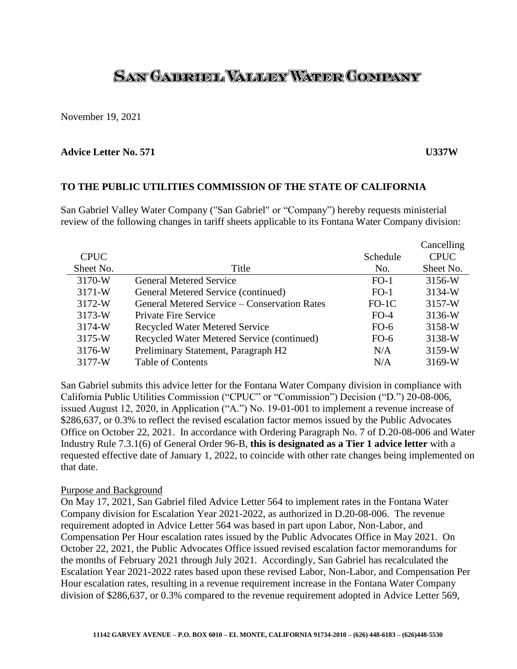# SAN GAERUEL VALLEY WATER COMPANY

November 19, 2021

#### **Advice Letter No. 571 U337W**

#### **TO THE PUBLIC UTILITIES COMMISSION OF THE STATE OF CALIFORNIA**

San Gabriel Valley Water Company ("San Gabriel" or "Company") hereby requests ministerial review of the following changes in tariff sheets applicable to its Fontana Water Company division:

|             |                                              |          | Cancelling  |
|-------------|----------------------------------------------|----------|-------------|
| <b>CPUC</b> |                                              | Schedule | <b>CPUC</b> |
| Sheet No.   | Title                                        | No.      | Sheet No.   |
| 3170-W      | <b>General Metered Service</b>               | $FO-1$   | 3156-W      |
| 3171-W      | General Metered Service (continued)          | $FO-1$   | 3134-W      |
| 3172-W      | General Metered Service – Conservation Rates | $FO-1C$  | 3157-W      |
| 3173-W      | <b>Private Fire Service</b>                  | $FO-4$   | 3136-W      |
| 3174-W      | <b>Recycled Water Metered Service</b>        | $FO-6$   | 3158-W      |
| 3175-W      | Recycled Water Metered Service (continued)   | $FO-6$   | 3138-W      |
| 3176-W      | Preliminary Statement, Paragraph H2          | N/A      | 3159-W      |
| 3177-W      | <b>Table of Contents</b>                     | N/A      | 3169-W      |

San Gabriel submits this advice letter for the Fontana Water Company division in compliance with California Public Utilities Commission ("CPUC" or "Commission") Decision ("D.") 20-08-006, issued August 12, 2020, in Application ("A.") No. 19-01-001 to implement a revenue increase of \$286,637, or 0.3% to reflect the revised escalation factor memos issued by the Public Advocates Office on October 22, 2021. In accordance with Ordering Paragraph No. 7 of D.20-08-006 and Water Industry Rule 7.3.1(6) of General Order 96-B, **this is designated as a Tier 1 advice letter** with a requested effective date of January 1, 2022, to coincide with other rate changes being implemented on that date.

#### Purpose and Background

On May 17, 2021, San Gabriel filed Advice Letter 564 to implement rates in the Fontana Water Company division for Escalation Year 2021-2022, as authorized in D.20-08-006. The revenue requirement adopted in Advice Letter 564 was based in part upon Labor, Non-Labor, and Compensation Per Hour escalation rates issued by the Public Advocates Office in May 2021. On October 22, 2021, the Public Advocates Office issued revised escalation factor memorandums for the months of February 2021 through July 2021. Accordingly, San Gabriel has recalculated the Escalation Year 2021-2022 rates based upon these revised Labor, Non-Labor, and Compensation Per Hour escalation rates, resulting in a revenue requirement increase in the Fontana Water Company division of \$286,637, or 0.3% compared to the revenue requirement adopted in Advice Letter 569,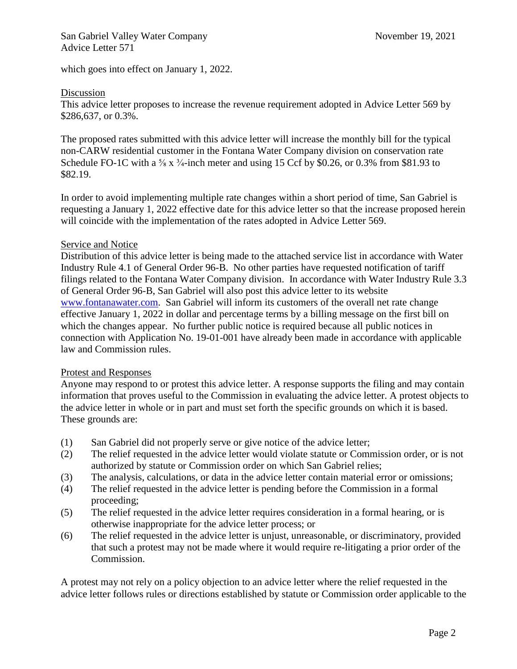which goes into effect on January 1, 2022.

### Discussion

This advice letter proposes to increase the revenue requirement adopted in Advice Letter 569 by \$286,637, or 0.3%.

The proposed rates submitted with this advice letter will increase the monthly bill for the typical non-CARW residential customer in the Fontana Water Company division on conservation rate Schedule FO-1C with a  $\frac{5}{8}$  x  $\frac{3}{4}$ -inch meter and using 15 Ccf by \$0.26, or 0.3% from \$81.93 to \$82.19.

In order to avoid implementing multiple rate changes within a short period of time, San Gabriel is requesting a January 1, 2022 effective date for this advice letter so that the increase proposed herein will coincide with the implementation of the rates adopted in Advice Letter 569.

#### Service and Notice

Distribution of this advice letter is being made to the attached service list in accordance with Water Industry Rule 4.1 of General Order 96-B. No other parties have requested notification of tariff filings related to the Fontana Water Company division. In accordance with Water Industry Rule 3.3 of General Order 96-B, San Gabriel will also post this advice letter to its website [www.fontanawater.com.](http://www.fontanawater.com/) San Gabriel will inform its customers of the overall net rate change effective January 1, 2022 in dollar and percentage terms by a billing message on the first bill on which the changes appear. No further public notice is required because all public notices in connection with Application No. 19-01-001 have already been made in accordance with applicable law and Commission rules.

### Protest and Responses

Anyone may respond to or protest this advice letter. A response supports the filing and may contain information that proves useful to the Commission in evaluating the advice letter. A protest objects to the advice letter in whole or in part and must set forth the specific grounds on which it is based. These grounds are:

- (1) San Gabriel did not properly serve or give notice of the advice letter;
- (2) The relief requested in the advice letter would violate statute or Commission order, or is not authorized by statute or Commission order on which San Gabriel relies;
- (3) The analysis, calculations, or data in the advice letter contain material error or omissions;
- (4) The relief requested in the advice letter is pending before the Commission in a formal proceeding;
- (5) The relief requested in the advice letter requires consideration in a formal hearing, or is otherwise inappropriate for the advice letter process; or
- (6) The relief requested in the advice letter is unjust, unreasonable, or discriminatory, provided that such a protest may not be made where it would require re-litigating a prior order of the Commission.

A protest may not rely on a policy objection to an advice letter where the relief requested in the advice letter follows rules or directions established by statute or Commission order applicable to the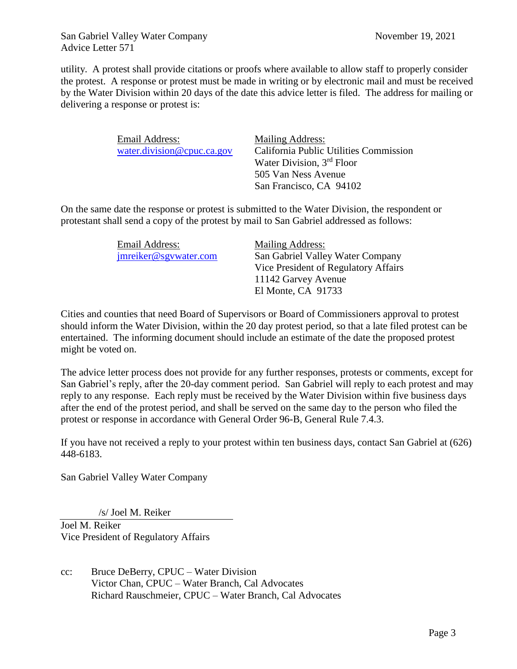utility. A protest shall provide citations or proofs where available to allow staff to properly consider the protest. A response or protest must be made in writing or by electronic mail and must be received by the Water Division within 20 days of the date this advice letter is filed. The address for mailing or delivering a response or protest is:

| Email Address:             | <b>Mailing Address:</b>                |
|----------------------------|----------------------------------------|
| water.division@cpuc.ca.gov | California Public Utilities Commission |
|                            | Water Division, 3 <sup>rd</sup> Floor  |
|                            | 505 Van Ness Avenue                    |
|                            | San Francisco, CA 94102                |

On the same date the response or protest is submitted to the Water Division, the respondent or protestant shall send a copy of the protest by mail to San Gabriel addressed as follows:

| Email Address:        | Mailing Address:                     |
|-----------------------|--------------------------------------|
| jmreiker@sgywater.com | San Gabriel Valley Water Company     |
|                       | Vice President of Regulatory Affairs |
|                       | 11142 Garvey Avenue                  |
|                       | El Monte, CA 91733                   |

Cities and counties that need Board of Supervisors or Board of Commissioners approval to protest should inform the Water Division, within the 20 day protest period, so that a late filed protest can be entertained. The informing document should include an estimate of the date the proposed protest might be voted on.

The advice letter process does not provide for any further responses, protests or comments, except for San Gabriel's reply, after the 20-day comment period. San Gabriel will reply to each protest and may reply to any response. Each reply must be received by the Water Division within five business days after the end of the protest period, and shall be served on the same day to the person who filed the protest or response in accordance with General Order 96-B, General Rule 7.4.3.

If you have not received a reply to your protest within ten business days, contact San Gabriel at (626) 448-6183.

San Gabriel Valley Water Company

/s/ Joel M. Reiker

Joel M. Reiker Vice President of Regulatory Affairs

cc: Bruce DeBerry, CPUC – Water Division Victor Chan, CPUC – Water Branch, Cal Advocates Richard Rauschmeier, CPUC – Water Branch, Cal Advocates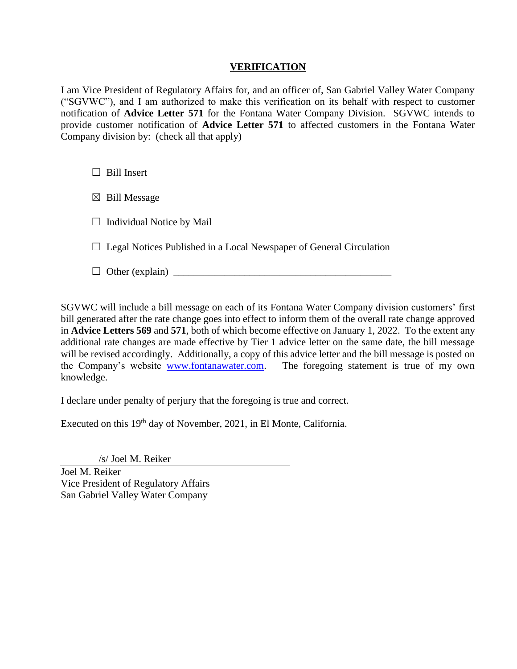## **VERIFICATION**

I am Vice President of Regulatory Affairs for, and an officer of, San Gabriel Valley Water Company ("SGVWC"), and I am authorized to make this verification on its behalf with respect to customer notification of **Advice Letter 571** for the Fontana Water Company Division. SGVWC intends to provide customer notification of **Advice Letter 571** to affected customers in the Fontana Water Company division by: (check all that apply)

 $\Box$  Bill Insert

 $\boxtimes$  Bill Message

 $\Box$  Individual Notice by Mail

 $\Box$  Legal Notices Published in a Local Newspaper of General Circulation

☐ Other (explain) \_\_\_\_\_\_\_\_\_\_\_\_\_\_\_\_\_\_\_\_\_\_\_\_\_\_\_\_\_\_\_\_\_\_\_\_\_\_\_\_\_\_\_

SGVWC will include a bill message on each of its Fontana Water Company division customers' first bill generated after the rate change goes into effect to inform them of the overall rate change approved in **Advice Letters 569** and **571**, both of which become effective on January 1, 2022. To the extent any additional rate changes are made effective by Tier 1 advice letter on the same date, the bill message will be revised accordingly. Additionally, a copy of this advice letter and the bill message is posted on the Company's website [www.fontanawater.com.](http://www.fontanawater.com/) The foregoing statement is true of my own knowledge.

I declare under penalty of perjury that the foregoing is true and correct.

Executed on this 19<sup>th</sup> day of November, 2021, in El Monte, California.

/s/ Joel M. Reiker

Joel M. Reiker Vice President of Regulatory Affairs San Gabriel Valley Water Company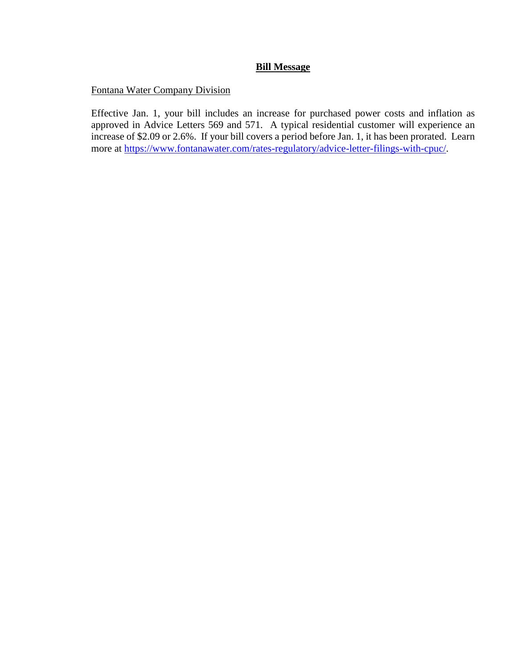## **Bill Message**

## Fontana Water Company Division

Effective Jan. 1, your bill includes an increase for purchased power costs and inflation as approved in Advice Letters 569 and 571. A typical residential customer will experience an increase of \$2.09 or 2.6%. If your bill covers a period before Jan. 1, it has been prorated. Learn more at [https://www.fontanawater.com/rates-regulatory/advice-letter-filings-with-cpuc/.](https://www.fontanawater.com/rates-regulatory/advice-letter-filings-with-cpuc/)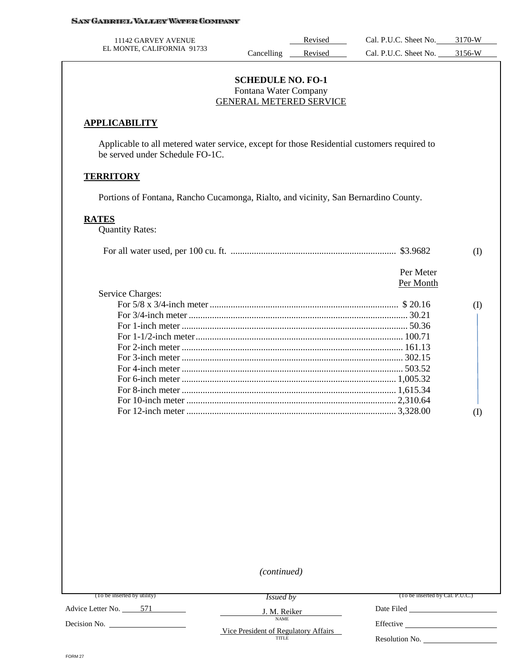| 11142 GARVEY AVENUE        |           | Revised | Cal. P.U.C. Sheet No. | 3170-W |
|----------------------------|-----------|---------|-----------------------|--------|
| EL MONTE, CALIFORNIA 91733 | ancelling | Revised | Cal. P.U.C. Sheet No. | 3156-W |

#### **SCHEDULE NO. FO-1** Fontana Water Company GENERAL METERED SERVICE

#### **APPLICABILITY**

Applicable to all metered water service, except for those Residential customers required to be served under Schedule FO-1C.

#### **TERRITORY**

Portions of Fontana, Rancho Cucamonga, Rialto, and vicinity, San Bernardino County.

#### **RATES**

Quantity Rates:

|                  |           | (I) |
|------------------|-----------|-----|
|                  | Per Meter |     |
|                  | Per Month |     |
| Service Charges: |           |     |

| For 2-inch meter $\ldots$ $\ldots$ $\ldots$ $\ldots$ $\ldots$ $\ldots$ $\ldots$ $\ldots$ $\ldots$ $\ldots$ $\ldots$ $\ldots$ $\ldots$ $\ldots$ $\ldots$ $\ldots$ $\ldots$ $\ldots$ $\ldots$ $\ldots$ $\ldots$ $\ldots$ $\ldots$ $\ldots$ $\ldots$ $\ldots$ $\ldots$ $\ldots$ $\ldots$ $\ldots$ $\ldots$ $\ldots$ $\ldots$ $\ldots$ |  |
|------------------------------------------------------------------------------------------------------------------------------------------------------------------------------------------------------------------------------------------------------------------------------------------------------------------------------------|--|
|                                                                                                                                                                                                                                                                                                                                    |  |
|                                                                                                                                                                                                                                                                                                                                    |  |
|                                                                                                                                                                                                                                                                                                                                    |  |
|                                                                                                                                                                                                                                                                                                                                    |  |
|                                                                                                                                                                                                                                                                                                                                    |  |
|                                                                                                                                                                                                                                                                                                                                    |  |
|                                                                                                                                                                                                                                                                                                                                    |  |

*(continued)*

*Issued by* J. M. Reiker

(To be inserted by utility)

Advice Letter No. 571

Decision No.

NAME Vice President of Regulatory Affairs TITLE

Date Filed Effective

(To be inserted by Cal. P.U.C.)

Resolution No.

FORM 27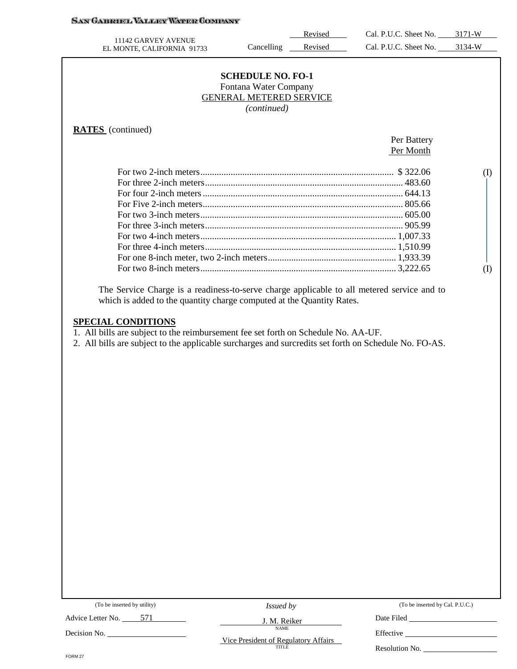# **SAN GARRIEL VALLEY WATER COMPANY**

| 11142 GARVEY AVENUE                                                                                   |                                | Revised | Cal. P.U.C. Sheet No. 3171-W |              |
|-------------------------------------------------------------------------------------------------------|--------------------------------|---------|------------------------------|--------------|
| EL MONTE, CALIFORNIA 91733                                                                            | Cancelling                     | Revised | Cal. P.U.C. Sheet No. 3134-W |              |
|                                                                                                       |                                |         |                              |              |
|                                                                                                       | <b>SCHEDULE NO. FO-1</b>       |         |                              |              |
|                                                                                                       | Fontana Water Company          |         |                              |              |
|                                                                                                       | <b>GENERAL METERED SERVICE</b> |         |                              |              |
|                                                                                                       | (continued)                    |         |                              |              |
|                                                                                                       |                                |         |                              |              |
| <b>RATES</b> (continued)                                                                              |                                |         |                              |              |
|                                                                                                       |                                |         | Per Battery                  |              |
|                                                                                                       |                                |         | Per Month                    |              |
|                                                                                                       |                                |         |                              | $\rm(D)$     |
|                                                                                                       |                                |         |                              |              |
|                                                                                                       |                                |         |                              |              |
|                                                                                                       |                                |         |                              |              |
|                                                                                                       |                                |         |                              |              |
|                                                                                                       |                                |         |                              |              |
|                                                                                                       |                                |         |                              |              |
|                                                                                                       |                                |         |                              |              |
|                                                                                                       |                                |         |                              |              |
|                                                                                                       |                                |         |                              | $($ $\Gamma$ |
|                                                                                                       |                                |         |                              |              |
| The Service Charge is a readiness-to-serve charge applicable to all metered service and to            |                                |         |                              |              |
| which is added to the quantity charge computed at the Quantity Rates.                                 |                                |         |                              |              |
|                                                                                                       |                                |         |                              |              |
| <b>SPECIAL CONDITIONS</b>                                                                             |                                |         |                              |              |
| 1. All bills are subject to the reimbursement fee set forth on Schedule No. AA-UF.                    |                                |         |                              |              |
| 2. All bills are subject to the applicable surcharges and surcredits set forth on Schedule No. FO-AS. |                                |         |                              |              |
|                                                                                                       |                                |         |                              |              |
|                                                                                                       |                                |         |                              |              |
|                                                                                                       |                                |         |                              |              |
|                                                                                                       |                                |         |                              |              |
|                                                                                                       |                                |         |                              |              |
|                                                                                                       |                                |         |                              |              |

|  | (To be inserted by utility) |  |  |
|--|-----------------------------|--|--|
|--|-----------------------------|--|--|

Advice Letter No. 571

Decision No.

*Issued by*

J. M. Reiker NAME

(To be inserted by Cal. P.U.C.)

Date Filed

Vice President of Regulatory Affairs

Effective \_\_ Resolution No.

FORM 27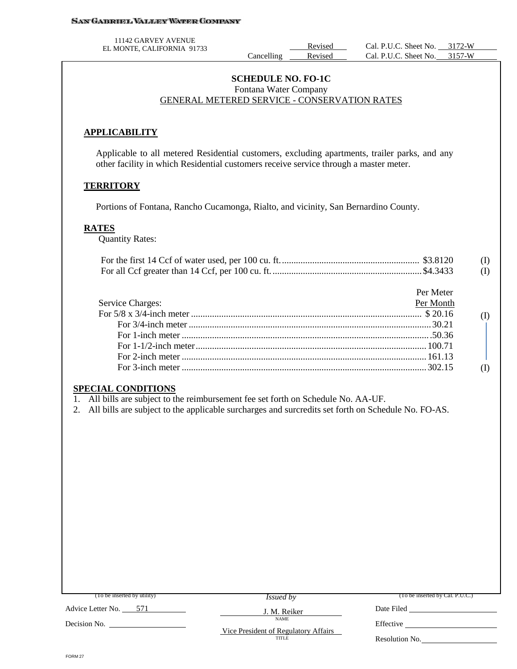#### **SAN GABRIEL VALLEY WATER COMPANY**

11142 GARVEY AVENUE

#### **SCHEDULE NO. FO-1C** Fontana Water Company GENERAL METERED SERVICE - CONSERVATION RATES

#### **APPLICABILITY**

Applicable to all metered Residential customers, excluding apartments, trailer parks, and any other facility in which Residential customers receive service through a master meter.

#### **TERRITORY**

Portions of Fontana, Rancho Cucamonga, Rialto, and vicinity, San Bernardino County.

#### **RATES**

Quantity Rates:

|  | (I) |
|--|-----|
|  | (I) |

| Per Meter                                                                                                                                                                                                                                                                                                                          |  |
|------------------------------------------------------------------------------------------------------------------------------------------------------------------------------------------------------------------------------------------------------------------------------------------------------------------------------------|--|
| Service Charges:<br>Per Month                                                                                                                                                                                                                                                                                                      |  |
|                                                                                                                                                                                                                                                                                                                                    |  |
|                                                                                                                                                                                                                                                                                                                                    |  |
| For 1-inch meter $\ldots$ 50.36                                                                                                                                                                                                                                                                                                    |  |
|                                                                                                                                                                                                                                                                                                                                    |  |
|                                                                                                                                                                                                                                                                                                                                    |  |
| For 3-inch meter $\ldots$ $\ldots$ $\ldots$ $\ldots$ $\ldots$ $\ldots$ $\ldots$ $\ldots$ $\ldots$ $\ldots$ $\ldots$ $\ldots$ $\ldots$ $\ldots$ $\ldots$ $\ldots$ $\ldots$ $\ldots$ $\ldots$ $\ldots$ $\ldots$ $\ldots$ $\ldots$ $\ldots$ $\ldots$ $\ldots$ $\ldots$ $\ldots$ $\ldots$ $\ldots$ $\ldots$ $\ldots$ $\ldots$ $\ldots$ |  |

#### **SPECIAL CONDITIONS**

1. All bills are subject to the reimbursement fee set forth on Schedule No. AA-UF.

2. All bills are subject to the applicable surcharges and surcredits set forth on Schedule No. FO-AS.

| (To be inserted by utility) | <i>Issued by</i>                              | (To be inserted by Cal. P.U.C.) |
|-----------------------------|-----------------------------------------------|---------------------------------|
| Advice Letter No.<br>571    | J. M. Reiker                                  | Date Filed                      |
| Decision No.                | <b>NAME</b>                                   | Effective                       |
|                             | Vice President of Regulatory Affairs<br>TITLE | Resolution No.                  |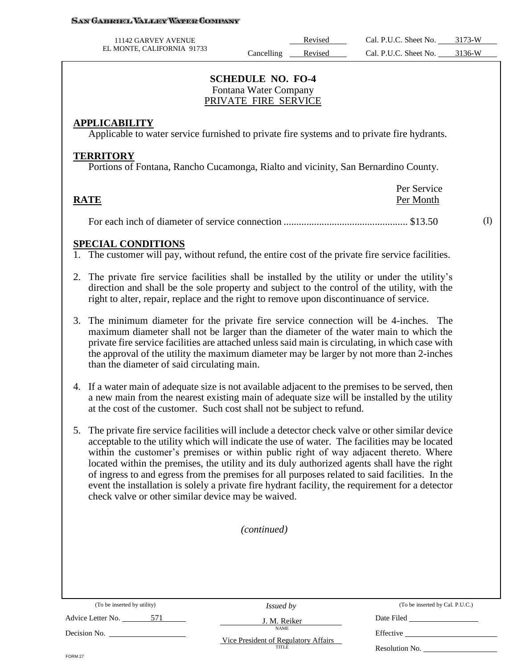#### San Gabroel Valley Water Company

| 11142 GARVEY AVENUE        |            | Revised | Cal. P.U.C. Sheet No. | 3173-W |
|----------------------------|------------|---------|-----------------------|--------|
| EL MONTE, CALIFORNIA 91733 | Cancelling | Revised | Cal. P.U.C. Sheet No. | 3136-W |

### **SCHEDULE NO. FO-4** Fontana Water Company PRIVATE FIRE SERVICE

#### **APPLICABILITY**

Applicable to water service furnished to private fire systems and to private fire hydrants.

#### **TERRITORY**

Portions of Fontana, Rancho Cucamonga, Rialto and vicinity, San Bernardino County.

|             | Per Service |
|-------------|-------------|
| <b>RATE</b> | Per Month   |
|             |             |

For each inch of diameter of service connection ................................................. \$13.50

### **SPECIAL CONDITIONS**

1. The customer will pay, without refund, the entire cost of the private fire service facilities.

- 2. The private fire service facilities shall be installed by the utility or under the utility's direction and shall be the sole property and subject to the control of the utility, with the right to alter, repair, replace and the right to remove upon discontinuance of service.
- 3. The minimum diameter for the private fire service connection will be 4-inches. The maximum diameter shall not be larger than the diameter of the water main to which the private fire service facilities are attached unless said main is circulating, in which case with the approval of the utility the maximum diameter may be larger by not more than 2-inches than the diameter of said circulating main.
- 4. If a water main of adequate size is not available adjacent to the premises to be served, then a new main from the nearest existing main of adequate size will be installed by the utility at the cost of the customer. Such cost shall not be subject to refund.
- 5. The private fire service facilities will include a detector check valve or other similar device acceptable to the utility which will indicate the use of water. The facilities may be located within the customer's premises or within public right of way adjacent thereto. Where located within the premises, the utility and its duly authorized agents shall have the right of ingress to and egress from the premises for all purposes related to said facilities. In the event the installation is solely a private fire hydrant facility, the requirement for a detector check valve or other similar device may be waived.

*(continued)*

(To be inserted by utility)

*Issued by* J. M. Reiker

NAME

(To be inserted by Cal. P.U.C.)

(I)

Advice Letter No. 571

Decision No.

Vice President of Regulatory Affairs TITLE

Date Filed Effective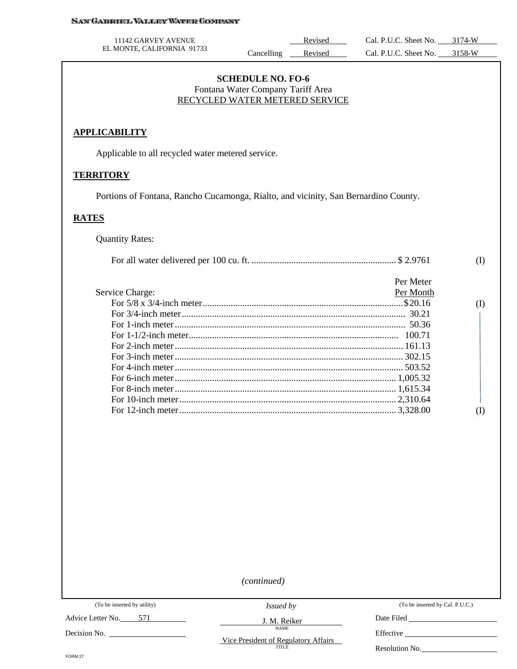| 11142 GARVEY AVENUE                                                                 |                                                                                                 | Revised | Cal. P.U.C. Sheet No. 3174-W |           |
|-------------------------------------------------------------------------------------|-------------------------------------------------------------------------------------------------|---------|------------------------------|-----------|
| EL MONTE, CALIFORNIA 91733                                                          | Cancelling                                                                                      | Revised | Cal. P.U.C. Sheet No.        | $3158-W$  |
|                                                                                     | <b>SCHEDULE NO. FO-6</b><br>Fontana Water Company Tariff Area<br>RECYCLED WATER METERED SERVICE |         |                              |           |
| <b>APPLICABILITY</b>                                                                |                                                                                                 |         |                              |           |
| Applicable to all recycled water metered service.                                   |                                                                                                 |         |                              |           |
| <b>TERRITORY</b>                                                                    |                                                                                                 |         |                              |           |
| Portions of Fontana, Rancho Cucamonga, Rialto, and vicinity, San Bernardino County. |                                                                                                 |         |                              |           |
|                                                                                     |                                                                                                 |         |                              |           |
|                                                                                     |                                                                                                 |         |                              |           |
| <b>Quantity Rates:</b>                                                              |                                                                                                 |         |                              |           |
|                                                                                     |                                                                                                 |         |                              | (I)       |
| Service Charge:                                                                     |                                                                                                 |         | Per Meter<br>Per Month       | $\rm (I)$ |
|                                                                                     |                                                                                                 |         |                              |           |
|                                                                                     |                                                                                                 |         |                              |           |
| <b>RATES</b>                                                                        |                                                                                                 |         |                              |           |

*(continued)*

Advice Letter No. 571

Decision No.

*Issued by*

J. M. Reiker NAME

Vice President of Regulatory Affairs

(To be inserted by Cal. P.U.C.)

Date Filed

Effective

Resolution No.

FORM 27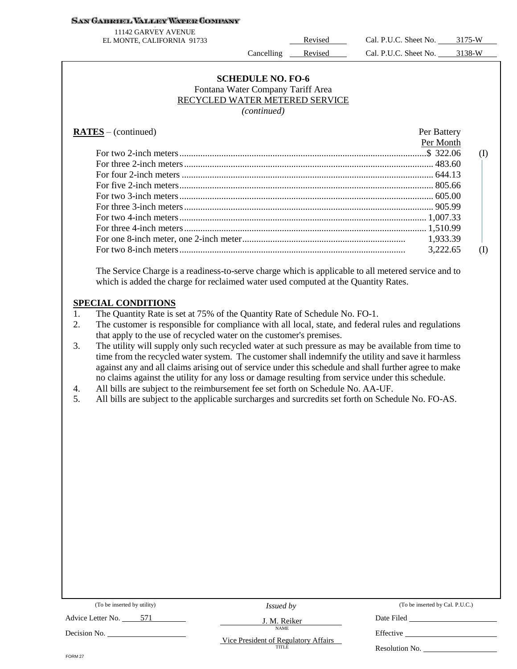#### **SAN GABRIEL VALLEY WATER COMPANY**

11142 GARVEY AVENUE

EL MONTE, CALIFORNIA 91733 Revised Cal. P.U.C. Sheet No. 3175-W Cancelling Revised Cal. P.U.C. Sheet No. 3138-W

#### **SCHEDULE NO. FO-6** Fontana Water Company Tariff Area RECYCLED WATER METERED SERVICE *(continued)*

#### **RATES** – (continued) Per Battery

| Per Month |     |
|-----------|-----|
|           | (I) |
|           |     |
|           |     |
|           |     |
|           |     |
|           |     |
|           |     |
|           |     |
|           |     |
| 3,222.65  |     |
|           |     |

The Service Charge is a readiness-to-serve charge which is applicable to all metered service and to which is added the charge for reclaimed water used computed at the Quantity Rates.

#### **SPECIAL CONDITIONS**

- 1. The Quantity Rate is set at 75% of the Quantity Rate of Schedule No. FO-1.
- 2. The customer is responsible for compliance with all local, state, and federal rules and regulations that apply to the use of recycled water on the customer's premises.
- 3. The utility will supply only such recycled water at such pressure as may be available from time to time from the recycled water system. The customer shall indemnify the utility and save it harmless against any and all claims arising out of service under this schedule and shall further agree to make no claims against the utility for any loss or damage resulting from service under this schedule.
- 4. All bills are subject to the reimbursement fee set forth on Schedule No. AA-UF.
- 5. All bills are subject to the applicable surcharges and surcredits set forth on Schedule No. FO-AS.

| (To be inserted by utility) | <i>Issued by</i>                              | (To be inserted by Cal. P.U.C.) |
|-----------------------------|-----------------------------------------------|---------------------------------|
| Advice Letter No.<br>571    | J. M. Reiker                                  | Date Filed                      |
| Decision No.                | <b>NAME</b>                                   | Effective                       |
|                             | Vice President of Regulatory Affairs<br>TITLE | Resolution No.                  |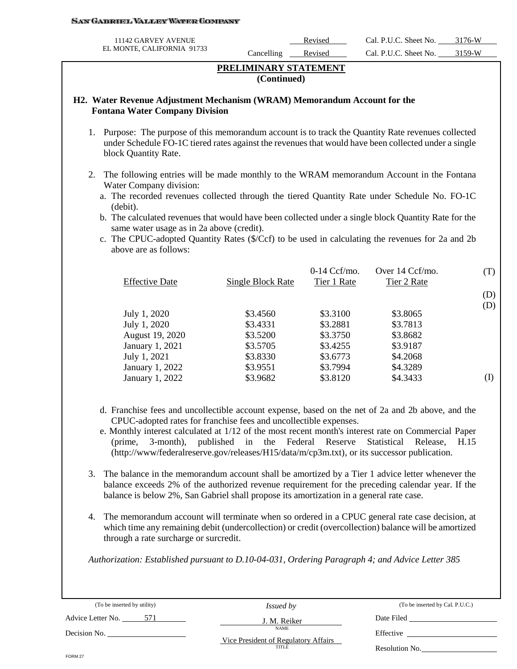#### SAN GABROEL VALLEY WATER COMPANY

| 11142 GARVEY AVENUE        |            | Revised | Cal. P.U.C. Sheet No. | 3176-W |
|----------------------------|------------|---------|-----------------------|--------|
| EL MONTE, CALIFORNIA 91733 | Cancelling | Revised | Cal. P.U.C. Sheet No. | 3150.W |

## **PRELIMINARY STATEMENT (Continued)**

#### **H2. Water Revenue Adjustment Mechanism (WRAM) Memorandum Account for the Fontana Water Company Division**

- 1. Purpose: The purpose of this memorandum account is to track the Quantity Rate revenues collected under Schedule FO-1C tiered rates against the revenues that would have been collected under a single block Quantity Rate.
- 2. The following entries will be made monthly to the WRAM memorandum Account in the Fontana Water Company division:
	- a. The recorded revenues collected through the tiered Quantity Rate under Schedule No. FO-1C (debit).
	- b. The calculated revenues that would have been collected under a single block Quantity Rate for the same water usage as in 2a above (credit).
	- c. The CPUC-adopted Quantity Rates (\$/Ccf) to be used in calculating the revenues for 2a and 2b above are as follows:

| Single Block Rate | $0-14 \text{ Ccf/mol}$ .<br>Tier 1 Rate | Over 14 Ccf/mo.<br>Tier 2 Rate | (T)      |
|-------------------|-----------------------------------------|--------------------------------|----------|
|                   |                                         |                                | (D)      |
|                   |                                         |                                | (D)      |
| \$3.4560          | \$3.3100                                |                                |          |
| \$3.4331          | \$3.2881                                | \$3.7813                       |          |
| \$3.5200          | \$3.3750                                | \$3.8682                       |          |
| \$3.5705          | \$3.4255                                | \$3.9187                       |          |
| \$3.8330          | \$3.6773                                | \$4.2068                       |          |
| \$3.9551          | \$3.7994                                | \$4.3289                       |          |
| \$3.9682          | \$3.8120                                | \$4.3433                       | (I)      |
|                   |                                         |                                | \$3.8065 |

- d. Franchise fees and uncollectible account expense, based on the net of 2a and 2b above, and the CPUC-adopted rates for franchise fees and uncollectible expenses.
- e. Monthly interest calculated at 1/12 of the most recent month's interest rate on Commercial Paper (prime, 3-month), published in the Federal Reserve Statistical Release, H.15 (http://www/federalreserve.gov/releases/H15/data/m/cp3m.txt), or its successor publication.
- 3. The balance in the memorandum account shall be amortized by a Tier 1 advice letter whenever the balance exceeds 2% of the authorized revenue requirement for the preceding calendar year. If the balance is below 2%, San Gabriel shall propose its amortization in a general rate case.
- 4. The memorandum account will terminate when so ordered in a CPUC general rate case decision, at which time any remaining debit (undercollection) or credit (overcollection) balance will be amortized through a rate surcharge or surcredit.

*Authorization: Established pursuant to D.10-04-031, Ordering Paragraph 4; and Advice Letter 385* 

(To be inserted by utility) Advice Letter No. \_\_\_\_\_\_\_\_571 Decision No. *Issued by* J. M. Reiker NAME Vice President of Regulatory Affairs TITLE (To be inserted by Cal. P.U.C.) Date Filed Effective \_ Resolution No. FORM 27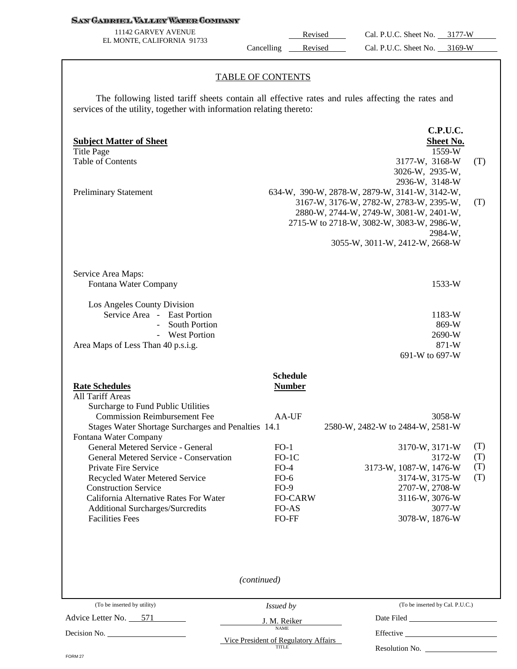#### **SAN GABRIEL VALLEY WATER COMPANY**

11142 GARVEY AVENUE EL MONTE, CALIFORNIA 91733

Revised Cal. P.U.C. Sheet No. 3177-W Cancelling Revised Cal. P.U.C. Sheet No. 3169-W

#### TABLE OF CONTENTS

The following listed tariff sheets contain all effective rates and rules affecting the rates and services of the utility, together with information relating thereto:

| <b>Table of Contents</b><br><b>Preliminary Statement</b>                                                                                                                                                                                                                                                                                                                                                                                                                                      |                                                                                                                                                 | 3177-W, 3168-W<br>(T)<br>3026-W, 2935-W,<br>2936-W, 3148-W<br>634-W, 390-W, 2878-W, 2879-W, 3141-W, 3142-W,<br>3167-W, 3176-W, 2782-W, 2783-W, 2395-W,<br>(T)<br>2880-W, 2744-W, 2749-W, 3081-W, 2401-W,<br>2715-W to 2718-W, 3082-W, 3083-W, 2986-W,<br>2984-W,<br>3055-W, 3011-W, 2412-W, 2668-W |
|-----------------------------------------------------------------------------------------------------------------------------------------------------------------------------------------------------------------------------------------------------------------------------------------------------------------------------------------------------------------------------------------------------------------------------------------------------------------------------------------------|-------------------------------------------------------------------------------------------------------------------------------------------------|----------------------------------------------------------------------------------------------------------------------------------------------------------------------------------------------------------------------------------------------------------------------------------------------------|
| Service Area Maps:<br>Fontana Water Company<br>Los Angeles County Division<br>Service Area - East Portion<br><b>South Portion</b><br>$\overline{a}$<br>- West Portion<br>Area Maps of Less Than 40 p.s.i.g.                                                                                                                                                                                                                                                                                   |                                                                                                                                                 | 1533-W<br>1183-W<br>869-W<br>2690-W<br>871-W<br>691-W to 697-W                                                                                                                                                                                                                                     |
| <b>Rate Schedules</b><br>All Tariff Areas<br>Surcharge to Fund Public Utilities<br><b>Commission Reimbursement Fee</b><br>Stages Water Shortage Surcharges and Penalties 14.1<br>Fontana Water Company<br>General Metered Service - General<br>General Metered Service - Conservation<br>Private Fire Service<br>Recycled Water Metered Service<br><b>Construction Service</b><br>California Alternative Rates For Water<br><b>Additional Surcharges/Surcredits</b><br><b>Facilities Fees</b> | <b>Schedule</b><br><b>Number</b><br>AA-UF<br>$FO-1$<br>$FO-1C$<br>$FO-4$<br>$FO-6$<br>$FO-9$<br><b>FO-CARW</b><br>FO-AS<br>FO-FF<br>(continued) | 3058-W<br>2580-W, 2482-W to 2484-W, 2581-W<br>(T)<br>3170-W, 3171-W<br>3172-W<br>(T)<br>(T)<br>3173-W, 1087-W, 1476-W<br>(T)<br>3174-W, 3175-W<br>2707-W, 2708-W<br>3116-W, 3076-W<br>3077-W<br>3078-W, 1876-W                                                                                     |
| (To be inserted by utility)<br>Advice Letter No. 571                                                                                                                                                                                                                                                                                                                                                                                                                                          | Issued by                                                                                                                                       | (To be inserted by Cal. P.U.C.)<br>Date Filed                                                                                                                                                                                                                                                      |
|                                                                                                                                                                                                                                                                                                                                                                                                                                                                                               | J. M. Reiker<br><b>NAME</b><br>Vice President of Regulatory Affairs<br><b>TITLE</b>                                                             | Resolution No.                                                                                                                                                                                                                                                                                     |